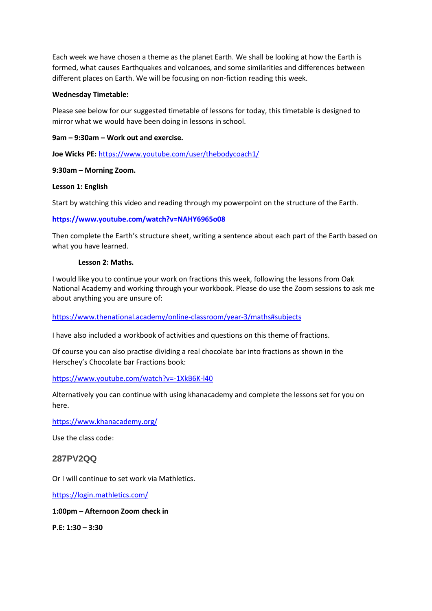Each week we have chosen a theme as the planet Earth. We shall be looking at how the Earth is formed, what causes Earthquakes and volcanoes, and some similarities and differences between different places on Earth. We will be focusing on non-fiction reading this week.

#### **Wednesday Timetable:**

Please see below for our suggested timetable of lessons for today, this timetable is designed to mirror what we would have been doing in lessons in school.

## **9am – 9:30am – Work out and exercise.**

**Joe Wicks PE:** <https://www.youtube.com/user/thebodycoach1/>

## **9:30am – Morning Zoom.**

## **Lesson 1: English**

Start by watching this video and reading through my powerpoint on the structure of the Earth.

## **<https://www.youtube.com/watch?v=NAHY6965o08>**

Then complete the Earth's structure sheet, writing a sentence about each part of the Earth based on what you have learned.

#### **Lesson 2: Maths.**

I would like you to continue your work on fractions this week, following the lessons from Oak National Academy and working through your workbook. Please do use the Zoom sessions to ask me about anything you are unsure of:

# <https://www.thenational.academy/online-classroom/year-3/maths#subjects>

I have also included a workbook of activities and questions on this theme of fractions.

Of course you can also practise dividing a real chocolate bar into fractions as shown in the Herschey's Chocolate bar Fractions book:

# <https://www.youtube.com/watch?v=-1XkB6K-l40>

Alternatively you can continue with using khanacademy and complete the lessons set for you on here.

<https://www.khanacademy.org/>

Use the class code:

# **287PV2QQ**

Or I will continue to set work via Mathletics.

<https://login.mathletics.com/>

#### **1:00pm – Afternoon Zoom check in**

**P.E: 1:30 – 3:30**